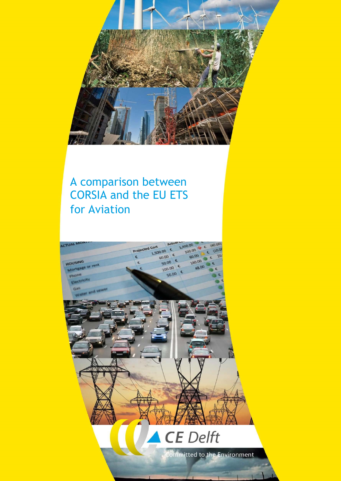

# A comparison between CORSIA and the EU ETS for Aviation

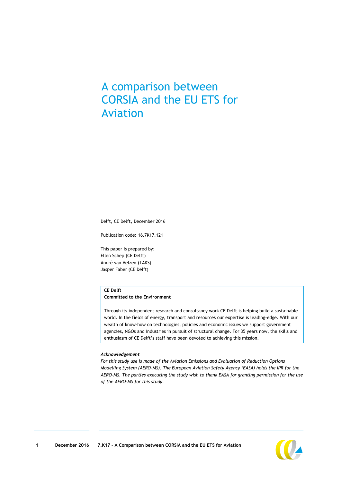## A comparison between CORSIA and the EU ETS for Aviation

Delft, CE Delft, December 2016

Publication code: 16.7K17.121

This paper is prepared by: Ellen Schep (CE Delft) André van Velzen (TAKS) Jasper Faber (CE Delft)

### **CE Delft**

#### **Committed to the Environment**

Through its independent research and consultancy work CE Delft is helping build a sustainable world. In the fields of energy, transport and resources our expertise is leading-edge. With our wealth of know-how on technologies, policies and economic issues we support government agencies, NGOs and industries in pursuit of structural change. For 35 years now, the skills and enthusiasm of CE Delft's staff have been devoted to achieving this mission.

#### *Acknowledgement*

*For this study use is made of the Aviation Emissions and Evaluation of Reduction Options Modelling System (AERO-MS). The European Aviation Safety Agency (EASA) holds the IPR for the AERO-MS. The parties executing the study wish to thank EASA for granting permission for the use of the AERO-MS for this study.*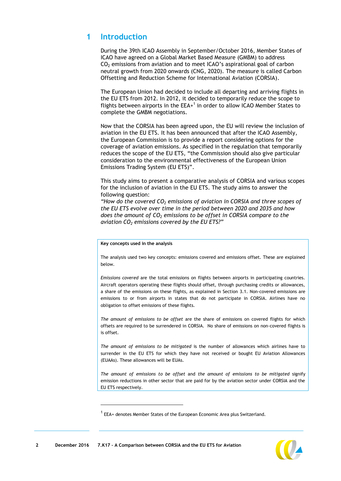### **1 Introduction**

During the 39th ICAO Assembly in September/October 2016, Member States of ICAO have agreed on a Global Market Based Measure (GMBM) to address  $CO<sub>2</sub>$  emissions from aviation and to meet ICAO's aspirational goal of carbon neutral growth from 2020 onwards (CNG, 2020). The measure is called Carbon Offsetting and Reduction Scheme for International Aviation (CORSIA).

The European Union had decided to include all departing and arriving flights in the EU ETS from 2012. In 2012, it decided to temporarily reduce the scope to flights between airports in the  $EEA<sup>+</sup>$  in order to allow ICAO Member States to complete the GMBM negotiations.

Now that the CORSIA has been agreed upon, the EU will review the inclusion of aviation in the EU ETS. It has been announced that after the ICAO Assembly, the European Commission is to provide a report considering options for the coverage of aviation emissions. As specified in the regulation that temporarily reduces the scope of the EU ETS, "the Commission should also give particular consideration to the environmental effectiveness of the European Union Emissions Trading System (EU ETS)".

This study aims to present a comparative analysis of CORSIA and various scopes for the inclusion of aviation in the EU ETS. The study aims to answer the following question:

*"How do the covered CO<sup>2</sup> emissions of aviation in CORSIA and three scopes of the EU ETS evolve over time in the period between 2020 and 2035 and how does the amount of CO<sup>2</sup> emissions to be offset in CORSIA compare to the aviation CO<sup>2</sup> emissions covered by the EU ETS?"*

#### **Key concepts used in the analysis**

The analysis used two key concepts: emissions covered and emissions offset. These are explained below.

*Emissions covered* are the total emissions on flights between airports in participating countries. Aircraft operators operating these flights should offset, through purchasing credits or allowances, a share of the emissions on these flights, as explained in Section [3.1.](#page-6-0) Non-covered emissions are emissions to or from airports in states that do not participate in CORSIA. Airlines have no obligation to offset emissions of these flights.

*The amount of emissions to be offset* are the share of emissions on covered flights for which offsets are required to be surrendered in CORSIA. No share of emissions on non-covered flights is is offset.

*The amount of emissions to be mitigated* is the number of allowances which airlines have to surrender in the EU ETS for which they have not received or bought EU Aviation Allowances (EUAAs). These allowances will be EUAs.

*The amount of emissions to be offset* and *the amount of emissions to be mitigated* signify emission reductions in other sector that are paid for by the aviation sector under CORSIA and the EU ETS respectively.

 $\overline{a}$ 



 $1$  EEA+ denotes Member States of the European Economic Area plus Switzerland.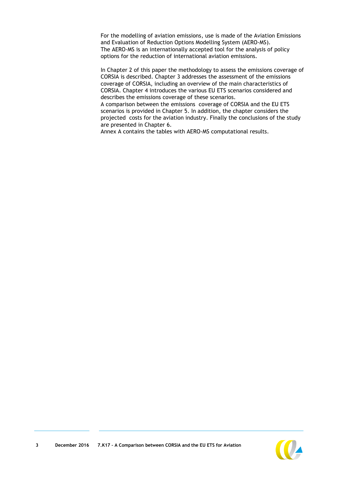For the modelling of aviation emissions, use is made of the Aviation Emissions and Evaluation of Reduction Options Modelling System (AERO-MS). The AERO-MS is an internationally accepted tool for the analysis of policy options for the reduction of international aviation emissions.

In Chapter 2 of this paper the methodology to assess the emissions coverage of CORSIA is described. Chapter [3](#page-6-1) addresses the assessment of the emissions coverage of CORSIA, including an overview of the main characteristics of CORSIA. Chapter [4](#page-10-0) introduces the various EU ETS scenarios considered and describes the emissions coverage of these scenarios.

A comparison between the emissions coverage of CORSIA and the EU ETS scenarios is provided in Chapter [5.](#page-14-0) In addition, the chapter considers the projected costs for the aviation industry. Finally the conclusions of the study are presented in Chapter [6.](#page-19-0)

[Annex A](#page-21-0) contains the tables with AERO-MS computational results.

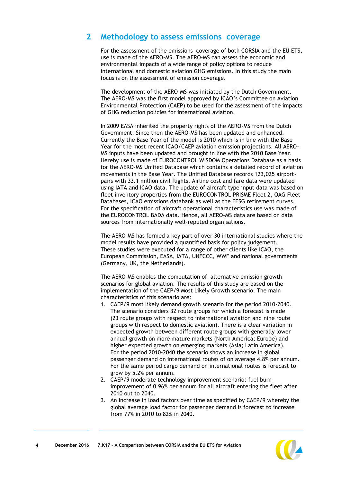### **2 Methodology to assess emissions coverage**

For the assessment of the emissions coverage of both CORSIA and the EU ETS, use is made of the AERO-MS. The AERO-MS can assess the economic and environmental impacts of a wide range of policy options to reduce international and domestic aviation GHG emissions. In this study the main focus is on the assessment of emission coverage.

The development of the AERO-MS was initiated by the Dutch Government. The AERO-MS was the first model approved by ICAO's Committee on Aviation Environmental Protection (CAEP) to be used for the assessment of the impacts of GHG reduction policies for international aviation.

In 2009 EASA inherited the property rights of the AERO-MS from the Dutch Government. Since then the AERO-MS has been updated and enhanced. Currently the Base Year of the model is 2010 which is in line with the Base Year for the most recent ICAO/CAEP aviation emission projections. All AERO-MS inputs have been updated and brought in line with the 2010 Base Year. Hereby use is made of EUROCONTROL WISDOM Operations Database as a basis for the AERO-MS Unified Database which contains a detailed record of aviation movements in the Base Year. The Unified Database records 123,025 airportpairs with 33.1 million civil flights. Airline cost and fare data were updated using IATA and ICAO data. The update of aircraft type input data was based on fleet inventory properties from the EUROCONTROL PRISME Fleet 2, OAG Fleet Databases, ICAO emissions databank as well as the FESG retirement curves. For the specification of aircraft operational characteristics use was made of the EUROCONTROL BADA data. Hence, all AERO-MS data are based on data sources from internationally well-reputed organisations.

The AERO-MS has formed a key part of over 30 international studies where the model results have provided a quantified basis for policy judgement. These studies were executed for a range of other clients like ICAO, the European Commission, EASA, IATA, UNFCCC, WWF and national governments (Germany, UK, the Netherlands).

The AERO-MS enables the computation of alternative emission growth scenarios for global aviation. The results of this study are based on the implementation of the CAEP/9 Most Likely Growth scenario. The main characteristics of this scenario are:

- 1. CAEP/9 most likely demand growth scenario for the period 2010-2040. The scenario considers 32 route groups for which a forecast is made (23 route groups with respect to international aviation and nine route groups with respect to domestic aviation). There is a clear variation in expected growth between different route groups with generally lower annual growth on more mature markets (North America; Europe) and higher expected growth on emerging markets (Asia; Latin America). For the period 2010-2040 the scenario shows an increase in global passenger demand on international routes of on average 4.8% per annum. For the same period cargo demand on international routes is forecast to grow by 5.2% per annum.
- 2. CAEP/9 moderate technology improvement scenario: fuel burn improvement of 0.96% per annum for all aircraft entering the fleet after 2010 out to 2040.
- 3. An increase in load factors over time as specified by CAEP/9 whereby the global average load factor for passenger demand is forecast to increase from 77% in 2010 to 82% in 2040.

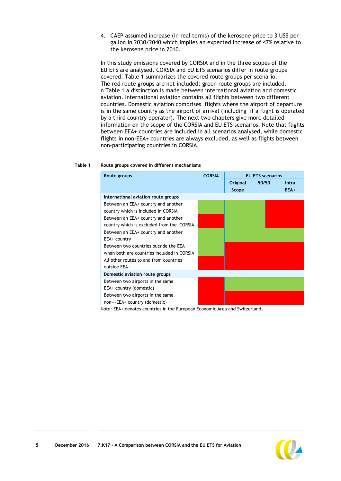4. CAEP assumed increase (in real terms) of the kerosene price to 3 US\$ per gallon in 2030/2040 which implies an expected increase of 47% relative to the kerosene price in 2010.

In this study emissions covered by CORSIA and in the three scopes of the EU ETS are analysed. CORSIA and EU ETS scenarios differ in route groups covered. [Table 1](#page-5-0) summarizes the covered route groups per scenario. The red route groups are not included; green route groups are included. n [Table 1](#page-5-0) a distinction is made between international aviation and domestic aviation. International aviation contains all flights between two different countries. Domestic aviation comprises flights where the airport of departure is in the same country as the airport of arrival (including if a flight is operated by a third country operator). The next two chapters give more detailed information on the scope of the CORSIA and EU ETS scenarios. Note that flights between EEA+ countries are included in all scenarios analysed, while domestic flights in non-EEA+ countries are always excluded, as well as flights between non-participating countries in CORSIA.

<span id="page-5-0"></span>

| Table 1 | Route groups covered in different mechanisms |
|---------|----------------------------------------------|
|---------|----------------------------------------------|

| Route groups                               | <b>CORSIA</b> |          | <b>EU ETS scenarios</b> |       |
|--------------------------------------------|---------------|----------|-------------------------|-------|
|                                            |               | Original | 50/50                   | Intra |
|                                            |               | Scope    |                         | EEA+  |
| International aviation route groups        |               |          |                         |       |
| Between an EEA+ country and another        |               |          |                         |       |
| country which is included in CORSIA        |               |          |                         |       |
| Between an EEA+ country and another        |               |          |                         |       |
| country which is excluded from the CORSIA  |               |          |                         |       |
| Between an EEA+ country and another        |               |          |                         |       |
| EEA+ country                               |               |          |                         |       |
| Between two countries outside the EEA+     |               |          |                         |       |
| when both are countries included in CORSIA |               |          |                         |       |
| All other routes to and from countries     |               |          |                         |       |
| outside EEA+                               |               |          |                         |       |
| Domestic aviation route groups             |               |          |                         |       |
| Between two airports in the same           |               |          |                         |       |
| EEA+ country (domestic)                    |               |          |                         |       |
| Between two airports in the same           |               |          |                         |       |
| non---EEA+ country (domestic)              |               |          |                         |       |

Note: EEA+ denotes countries in the European Economic Area and Switzerland.

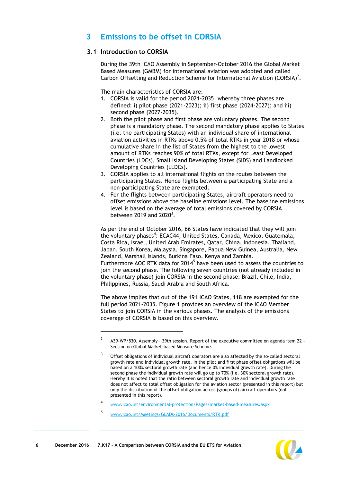### <span id="page-6-1"></span>**3 Emissions to be offset in CORSIA**

### <span id="page-6-0"></span>**3.1 Introduction to CORSIA**

During the 39th ICAO Assembly in September-October 2016 the Global Market Based Measures (GMBM) for international aviation was adopted and called Carbon Offsetting and Reduction Scheme for International Aviation (CORSIA)<sup>2</sup>.

The main characteristics of CORSIA are:

- 1. CORSIA is valid for the period 2021-2035, whereby three phases are defined: i) pilot phase (2021-2023); ii) first phase (2024-2027); and iii) second phase (2027-2035).
- 2. Both the pilot phase and first phase are voluntary phases. The second phase is a mandatory phase. The second mandatory phase applies to States (i.e. the participating States) with an individual share of international aviation activities in RTKs above 0.5% of total RTKs in year 2018 or whose cumulative share in the list of States from the highest to the lowest amount of RTKs reaches 90% of total RTKs, except for Least Developed Countries (LDCs), Small Island Developing States (SIDS) and Landlocked Developing Countries (LLDCs).
- 3. CORSIA applies to all international flights on the routes between the participating States. Hence flights between a participating State and a non-participating State are exempted.
- 4. For the flights between participating States, aircraft operators need to offset emissions above the baseline emissions level. The baseline emissions level is based on the average of total emissions covered by CORSIA between 2019 and  $2020<sup>3</sup>$ .

As per the end of October 2016, 66 States have indicated that they will join the voluntary phases<sup>4</sup>: ECAC44, United States, Canada, Mexico, Guatemala, Costa Rica, Israel, United Arab Emirates, Qatar, China, Indonesia, Thailand, Japan, South Korea, Malaysia, Singapore, Papua New Guinea, Australia, New Zealand, Marshall Islands, Burkina Faso, Kenya and Zambia. Furthermore AOC RTK data for 2014<sup>5</sup> have been used to assess the countries to join the second phase. The following seven countries (not already included in the voluntary phase) join CORSIA in the second phase: Brazil, Chile, India, Philippines, Russia, Saudi Arabia and South Africa.

The above implies that out of the 191 ICAO States, 118 are exempted for the full period 2021-2035. [Figure 1](#page-7-0) provides an overview of the ICAO Member States to join CORSIA in the various phases. The analysis of the emissions coverage of CORSIA is based on this overview.

[www.icao.int/Meetings/GLADs-2016/Documents/RTK.pdf](http://www.icao.int/Meetings/GLADs-2016/Documents/RTK.pdf)

-

5



<sup>2</sup> A39-WP/530. Assembly – 39th session. Report of the executive committee on agenda item 22 - Section on Global Market-based Measure Scheme.

<sup>3</sup> Offset obligations of individual aircraft operators are also affected by the so-called sectoral growth rate and individual growth rate. In the pilot and first phase offset obligations will be based on a 100% sectoral growth rate (and hence 0% individual growth rate). During the second phase the individual growth rate will go up to 70% (i.e. 30% sectoral growth rate). Hereby it is noted that the ratio between sectoral growth rate and individual growth rate does not affect to total offset obligation for the aviation sector (presented in this report) but only the distribution of the offset obligation across (groups of) aircraft operators (not presented in this report).

<sup>4</sup> [www.icao.int/environmental-protection/Pages/market-based-measures.aspx](http://www.icao.int/environmental-protection/Pages/market-based-measures.aspx)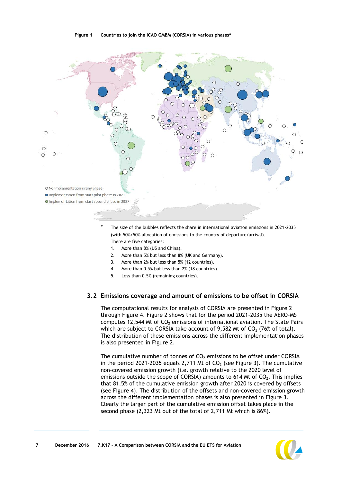#### **Figure 1 Countries to join the ICAO GMBM (CORSIA) in various phases\***

<span id="page-7-0"></span>

The size of the bubbles reflects the share in international aviation emissions in 2021-2035 (with 50%/50% allocation of emissions to the country of departure/arrival). There are five categories:

- 1. More than 8% (US and China).
- 2. More than 5% but less than 8% (UK and Germany).
- 3. More than 2% but less than 5% (12 countries).
- 4. More than 0.5% but less than 2% (18 countries).
- 5. Less than 0.5% (remaining countries).

### <span id="page-7-1"></span>**3.2 Emissions coverage and amount of emissions to be offset in CORSIA**

The computational results for analysis of CORSIA are presented in [Figure 2](#page-8-0) through [Figure 4.](#page-8-1) [Figure 2](#page-8-0) shows that for the period 2021-2035 the AERO-MS computes 12,544 Mt of  $CO<sub>2</sub>$  emissions of international aviation. The State Pairs which are subject to CORSIA take account of 9,582 Mt of  $CO<sub>2</sub>$  (76% of total). The distribution of these emissions across the different implementation phases is also presented in [Figure 2.](#page-8-0)

The cumulative number of tonnes of  $CO<sub>2</sub>$  emissions to be offset under CORSIA in the period 2021-2035 equals 2,711 Mt of  $CO<sub>2</sub>$  (see Figure 3). The cumulative non-covered emission growth (i.e. growth relative to the 2020 level of emissions outside the scope of CORSIA) amounts to 614 Mt of  $CO<sub>2</sub>$ . This implies that 81.5% of the cumulative emission growth after 2020 is covered by offsets (see Figure 4). The distribution of the offsets and non-covered emission growth across the different implementation phases is also presented in Figure 3. Clearly the larger part of the cumulative emission offset takes place in the second phase (2,323 Mt out of the total of 2,711 Mt which is 86%).

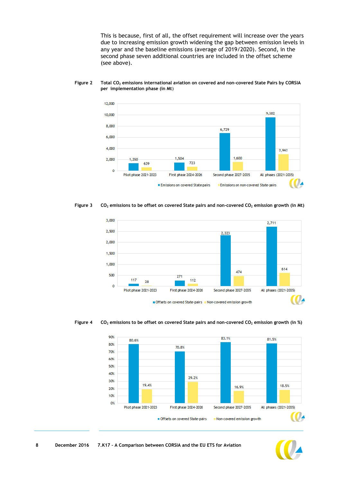This is because, first of all, the offset requirement will increase over the years due to increasing emission growth widening the gap between emission levels in any year and the baseline emissions (average of 2019/2020). Second, in the second phase seven additional countries are included in the offset scheme (see above).



#### <span id="page-8-0"></span>**Figure 2 Total CO<sup>2</sup> emissions international aviation on covered and non-covered State Pairs by CORSIA per implementation phase (in Mt**)





<span id="page-8-1"></span>



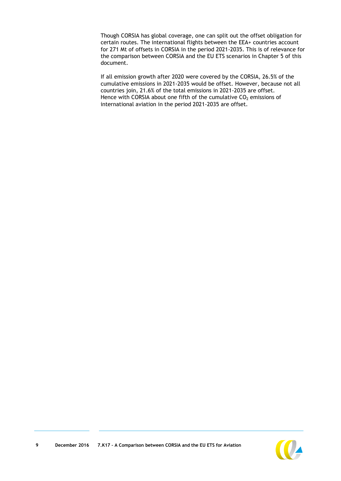Though CORSIA has global coverage, one can split out the offset obligation for certain routes. The international flights between the EEA+ countries account for 271 Mt of offsets in CORSIA in the period 2021-2035. This is of relevance for the comparison between CORSIA and the EU ETS scenarios in Chapter 5 of this document.

If all emission growth after 2020 were covered by the CORSIA, 26.5% of the cumulative emissions in 2021-2035 would be offset. However, because not all countries join, 21.6% of the total emissions in 2021-2035 are offset. Hence with CORSIA about one fifth of the cumulative  $CO<sub>2</sub>$  emissions of international aviation in the period 2021-2035 are offset.

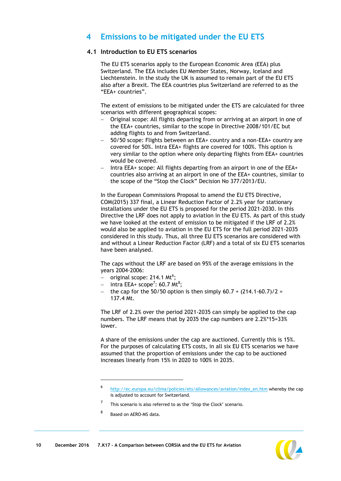### <span id="page-10-0"></span>**4 Emissions to be mitigated under the EU ETS**

### **4.1 Introduction to EU ETS scenarios**

The EU ETS scenarios apply to the European Economic Area (EEA) plus Switzerland. The EEA includes EU Member States, Norway, Iceland and Liechtenstein. In the study the UK is assumed to remain part of the EU ETS also after a Brexit. The EEA countries plus Switzerland are referred to as the "EEA+ countries".

The extent of emissions to be mitigated under the ETS are calculated for three scenarios with different geographical scopes:

- Original scope: All flights departing from or arriving at an airport in one of the EEA+ countries, similar to the scope in Directive 2008/101/EC but adding flights to and from Switzerland.
- 50/50 scope: Flights between an EEA+ country and a non-EEA+ country are covered for 50%. Intra EEA+ flights are covered for 100%. This option is very similar to the option where only departing flights from EEA+ countries would be covered.
- $-$  Intra EEA+ scope: All flights departing from an airport in one of the EEA+ countries also arriving at an airport in one of the EEA+ countries, similar to the scope of the "Stop the Clock" Decision No 377/2013/EU.

In the European Commissions Proposal to amend the EU ETS Directive, COM(2015) 337 final, a Linear Reduction Factor of 2.2% year for stationary installations under the EU ETS is proposed for the period 2021-2030. In this Directive the LRF does not apply to aviation in the EU ETS. As part of this study we have looked at the extent of emission to be mitigated if the LRF of 2.2% would also be applied to aviation in the EU ETS for the full period 2021-2035 considered in this study. Thus, all three EU ETS scenarios are considered with and without a Linear Reduction Factor (LRF) and a total of six EU ETS scenarios have been analysed.

The caps without the LRF are based on 95% of the average emissions in the years 2004-2006:

- $-$  original scope: 214.1 Mt<sup>6</sup>;
- $-$  intra EEA+ scope<sup>7</sup>: 60.7 Mt<sup>8</sup>;
- the cap for the 50/50 option is then simply  $60.7 + (214.1-60.7)/2 =$ 137.4 Mt.

The LRF of 2.2% over the period 2021-2035 can simply be applied to the cap numbers. The LRF means that by 2035 the cap numbers are 2.2%\*15=33% lower.

A share of the emissions under the cap are auctioned. Currently this is 15%. For the purposes of calculating ETS costs, in all six EU ETS scenarios we have assumed that the proportion of emissions under the cap to be auctioned increases linearly from 15% in 2020 to 100% in 2035.

8 Based on AERO-MS data.

1



<sup>6</sup> [http://ec.europa.eu/clima/policies/ets/allowances/aviation/index\\_en.htm](http://ec.europa.eu/clima/policies/ets/allowances/aviation/index_en.htm) whereby the cap is adjusted to account for Switzerland.

<sup>7</sup> This scenario is also referred to as the 'Stop the Clock' scenario.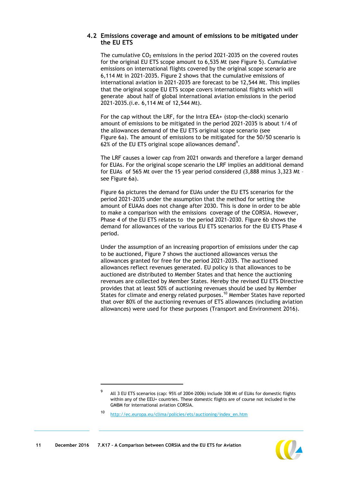### **4.2 Emissions coverage and amount of emissions to be mitigated under the EU ETS**

The cumulative  $CO<sub>2</sub>$  emissions in the period 2021-2035 on the covered routes for the original EU ETS scope amount to 6,535 Mt (see [Figure](#page-12-0) 5). Cumulative emissions on international flights covered by the original scope scenario are 6,114 Mt in 2021-2035. [Figure 2](#page-8-0) shows that the cumulative emissions of international aviation in 2021-2035 are forecast to be 12,544 Mt. This implies that the original scope EU ETS scope covers international flights which will generate about half of global international aviation emissions in the period 2021-2035.(i.e. 6,114 Mt of 12,544 Mt).

For the cap without the LRF, for the Intra EEA+ (stop-the-clock) scenario amount of emissions to be mitigated in the period 2021-2035 is about 1/4 of the allowances demand of the EU ETS original scope scenario (see [Figure 6a](#page-12-1)). The amount of emissions to be mitigated for the 50/50 scenario is 62% of the EU ETS original scope allowances demand<sup>9</sup>.

The LRF causes a lower cap from 2021 onwards and therefore a larger demand for EUAs. For the original scope scenario the LRF implies an additional demand for EUAs of 565 Mt over the 15 year period considered (3,888 minus 3,323 Mt – see Figure 6a).

Figure 6a pictures the demand for EUAs under the EU ETS scenarios for the period 2021-2035 under the assumption that the method for setting the amount of EUAAs does not change after 2030. This is done in order to be able to make a comparison with the emissions coverage of the CORSIA. However, Phase 4 of the EU ETS relates to the period 2021-2030. Figure 6b shows the demand for allowances of the various EU ETS scenarios for the EU ETS Phase 4 period.

Under the assumption of an increasing proportion of emissions under the cap to be auctioned, Figure 7 shows the auctioned allowances versus the allowances granted for free for the period 2021-2035. The auctioned allowances reflect revenues generated. EU policy is that allowances to be auctioned are distributed to Member States and that hence the auctioning revenues are collected by Member States. Hereby the revised EU ETS Directive provides that at least 50% of auctioning revenues should be used by Member States for climate and energy related purposes.<sup>10</sup> Member States have reported that over 80% of the auctioning revenues of ETS allowances (including aviation allowances) were used for these purposes (Transport and Environment 2016).

 $\overline{a}$ 



<sup>9</sup> All 3 EU ETS scenarios (cap: 95% of 2004-2006) include 308 Mt of EUAs for domestic flights within any of the EEU+ countries. These domestic flights are of course not included in the GMBM for international aviation CORSIA.

<sup>10</sup> [http://ec.europa.eu/clima/policies/ets/auctioning/index\\_en.htm](http://ec.europa.eu/clima/policies/ets/auctioning/index_en.htm)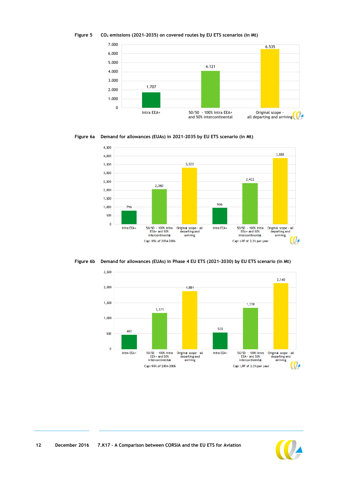<span id="page-12-0"></span>



<span id="page-12-1"></span>**Figure 6a Demand for allowances (EUAs) in 2021-2035 by EU ETS scenario (in Mt)**



**Figure 6b Demand for allowances (EUAs) in Phase 4 EU ETS (2021-2030) by EU ETS scenario (in Mt)**



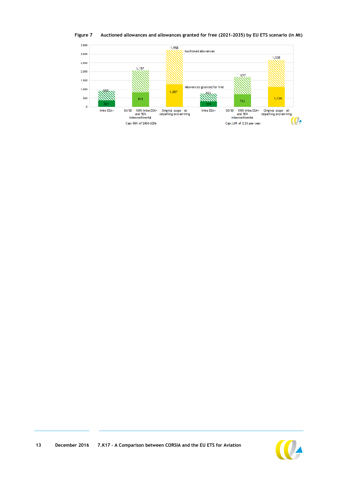

**Figure 7 Auctioned allowances and allowances granted for free (2021-2035) by EU ETS scenario (in Mt)**



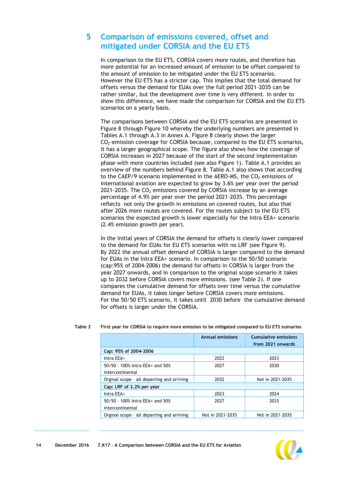### <span id="page-14-0"></span>**5 Comparison of emissions covered, offset and mitigated under CORSIA and the EU ETS**

In comparison to the EU ETS, CORSIA covers more routes, and therefore has more potential for an increased amount of emission to be offset compared to the amount of emission to be mitigated under the EU ETS scenarios. However the EU ETS has a stricter cap. This implies that the total demand for offsets versus the demand for EUAs over the full period 2021-2035 can be rather similar, but the development over time is very different. In order to show this difference, we have made the comparison for CORSIA and the EU ETS scenarios on a yearly basis.

The comparisons between CORSIA and the EU ETS scenarios are presented in [Figure 8](#page-15-0) through [Figure 10](#page-16-0) whereby the underlying numbers are presented in Tables [A.1](#page-21-1) through [A.3](#page-22-0) in [Annex A.](#page-21-0) [Figure 8](#page-15-0) clearly shows the larger  $CO<sub>2</sub>$ -emission coverage for CORSIA because, compared to the EU ETS scenarios, it has a larger geographical scope. The figure also shows how the coverage of CORSIA increases in 2027 because of the start of the second implementation phase with more countries included (see also [Figure 1\)](#page-7-0). Table [A.1](#page-21-1) provides an overview of the numbers behind [Figure 8.](#page-15-0) Table [A.1](#page-21-1) also shows that according to the CAEP/9 scenario implemented in the AERO-MS, the  $CO<sub>2</sub>$  emissions of international aviation are expected to grow by 3.6% per year over the period 2021-2035. The  $CO<sub>2</sub>$  emissions covered by CORSIA increase by an average percentage of 4.9% per year over the period 2021-2035. This percentage reflects not only the growth in emissions on covered routes, but also that after 2026 more routes are covered. For the routes subject to the EU ETS scenarios the expected growth is lower especially for the Intra EEA+ scenario (2.4% emission growth per year).

In the initial years of CORSIA the demand for offsets is clearly lower compared to the demand for EUAs for EU ETS scenarios with no LRF (see [Figure 9\)](#page-16-1). By 2022 the annual offset demand of CORSIA is larger compared to the demand for EUAs in the Intra EEA+ scenario. In comparison to the 50/50 scenario (cap:95% of 2004-2006) the demand for offsets in CORSIA is larger from the year 2027 onwards, and in comparison to the original scope scenario it takes up to 2032 before CORSIA covers more emissions. (see [Table 2\)](#page-14-1). If one compares the cumulative demand for offsets over time versus the cumulative demand for EUAs, it takes longer before CORSIA covers more emissions. For the 50/50 ETS scenario, it takes until 2030 before the cumulative demand for offsets is larger under the CORSIA.

|                                            | <b>Annual emissions</b> | <b>Cumulative emissions</b><br>from 2021 onwards |
|--------------------------------------------|-------------------------|--------------------------------------------------|
| Cap: 95% of 2004-2006                      |                         |                                                  |
| Intra EEA+                                 | 2022                    | 2023                                             |
| 50/50 - 100% Intra EEA+ and 50%            | 2027                    | 2030                                             |
| intercontinental                           |                         |                                                  |
| Orginal scope - all departing and arriving | 2032                    | Not in 2021-2035                                 |
| Cap: LRF of 2.2% per year                  |                         |                                                  |
| Intra EEA+                                 | 2023                    | 2024                                             |
| 50/50 - 100% Intra EEA+ and 50%            | 2027                    | 2033                                             |
| intercontinental                           |                         |                                                  |
| Orginal scope - all departing and arriving | Not in 2021-2035        | Not in 2021-2035                                 |

<span id="page-14-1"></span>**Table 2 First year for CORSIA to require more emission to be mitigated compared to EU ETS scenarios**

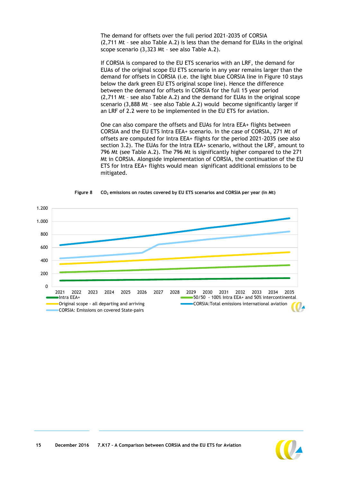The demand for offsets over the full period 2021-2035 of CORSIA (2,711 Mt – see also Table [A.2\)](#page-21-2) is less than the demand for EUAs in the original scope scenario (3,323 Mt – see also Table [A.2\)](#page-21-2).

If CORSIA is compared to the EU ETS scenarios with an LRF, the demand for EUAs of the original scope EU ETS scenario in any year remains larger than the demand for offsets in CORSIA (i.e. the light blue CORSIA line in [Figure 10](#page-16-0) stays below the dark green EU ETS original scope line). Hence the difference between the demand for offsets in CORSIA for the full 15 year period (2,711 Mt – see also Table [A.2\)](#page-21-2) and the demand for EUAs in the original scope scenario (3,888 Mt – see also Table [A.2\)](#page-21-2) would become significantly larger if an LRF of 2.2 were to be implemented in the EU ETS for aviation.

One can also compare the offsets and EUAs for Intra EEA+ flights between CORSIA and the EU ETS Intra EEA+ scenario. In the case of CORSIA, 271 Mt of offsets are computed for Intra EEA+ flights for the period 2021-2035 (see also section [3.2\)](#page-7-1). The EUAs for the Intra EEA+ scenario, without the LRF, amount to 796 Mt (see Table [A.2\)](#page-21-2). The 796 Mt is significantly higher compared to the 271 Mt in CORSIA. Alongside implementation of CORSIA, the continuation of the EU ETS for Intra EEA+ flights would mean significant additional emissions to be mitigated.

<span id="page-15-0"></span>

**Figure 8 CO<sup>2</sup> emissions on routes covered by EU ETS scenarios and CORSIA per year (in Mt)**

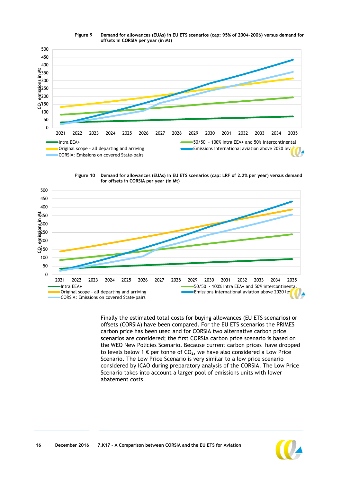<span id="page-16-1"></span>

**Figure 9 Demand for allowances (EUAs) in EU ETS scenarios (cap: 95% of 2004-2006) versus demand for offsets in CORSIA per year (in Mt)**

**Figure 10 Demand for allowances (EUAs) in EU ETS scenarios (cap: LRF of 2.2% per year) versus demand for offsets in CORSIA per year (in Mt)**

<span id="page-16-0"></span>

Finally the estimated total costs for buying allowances (EU ETS scenarios) or offsets (CORSIA) have been compared. For the EU ETS scenarios the PRIMES carbon price has been used and for CORSIA two alternative carbon price scenarios are considered; the first CORSIA carbon price scenario is based on the WEO New Policies Scenario. Because current carbon prices have dropped to levels below 1  $\epsilon$  per tonne of CO<sub>2</sub>, we have also considered a Low Price Scenario. The Low Price Scenario is very similar to a low price scenario considered by ICAO during preparatory analysis of the CORSIA. The Low Price Scenario takes into account a larger pool of emissions units with lower abatement costs.

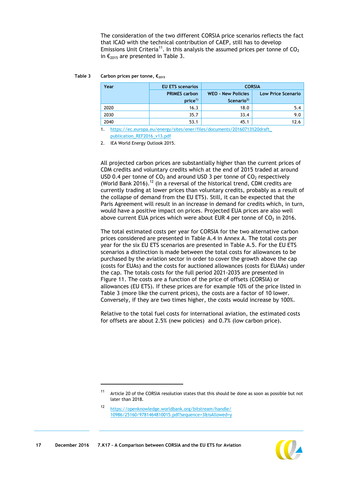The consideration of the two different CORSIA price scenarios reflects the fact that ICAO with the technical contribution of CAEP, still has to develop Emissions Unit Criteria<sup>11</sup>. In this analysis the assumed prices per tonne of  $CO<sub>2</sub>$ in  $\epsilon_{2015}$  are presented in [Table 3.](#page-17-0)

#### <span id="page-17-0"></span>**Table 3 Carbon prices per tonne, €<sup>2015</sup>**

| Year                                                                    | <b>EU ETS scenarios</b> | <b>CORSIA</b>                                       |                           |  |  |  |  |
|-------------------------------------------------------------------------|-------------------------|-----------------------------------------------------|---------------------------|--|--|--|--|
|                                                                         | <b>PRIMES carbon</b>    | <b>WEO - New Policies</b><br>Scenario <sup>2)</sup> | <b>Low Price Scenario</b> |  |  |  |  |
|                                                                         | price <sup>1</sup>      |                                                     |                           |  |  |  |  |
| 2020                                                                    | 16.3                    | 18.0                                                | 5.4                       |  |  |  |  |
| 2030                                                                    | 35.7                    | 33.4                                                | 9.0                       |  |  |  |  |
| 2040                                                                    | 53.1                    | 45.1                                                | 12.6                      |  |  |  |  |
| https://ec.europa.eu/energy/sites/ener/files/documents/20160713%20draft |                         |                                                     |                           |  |  |  |  |

[publication\\_REF2016\\_v13.pdf](https://ec.europa.eu/energy/sites/ener/files/documents/20160713%20draft_publication_REF2016_v13.pdf)

2. IEA World Energy Outlook 2015.

All projected carbon prices are substantially higher than the current prices of CDM credits and voluntary credits which at the end of 2015 traded at around USD 0.4 per tonne of  $CO<sub>2</sub>$  and around USD 3 per tonne of  $CO<sub>2</sub>$  respectively (World Bank 2016).<sup>12</sup> (In a reversal of the historical trend, CDM credits are currently trading at lower prices than voluntary credits, probably as a result of the collapse of demand from the EU ETS). Still, it can be expected that the Paris Agreement will result in an increase in demand for credits which, in turn, would have a positive impact on prices. Projected EUA prices are also well above current EUA prices which were about EUR 4 per tonne of  $CO<sub>2</sub>$  in 2016.

The total estimated costs per year for CORSIA for the two alternative carbon prices considered are presented in Table [A.4](#page-22-1) in Annex A. The total costs per year for the six EU ETS scenarios are presented in Table [A.5.](#page-23-0) For the EU ETS scenarios a distinction is made between the total costs for allowances to be purchased by the aviation sector in order to cover the growth above the cap (costs for EUAs) and the costs for auctioned allowances (costs for EUAAs) under the cap. The totals costs for the full period 2021-2035 are presented in [Figure 11.](#page-18-0) The costs are a function of the price of offsets (CORSIA) or allowances (EU ETS). If these prices are for example 10% of the price listed in Table 3 (more like the current prices), the costs are a factor of 10 lower. Conversely, if they are two times higher, the costs would increase by 100%.

Relative to the total fuel costs for international aviation, the estimated costs for offsets are about 2.5% (new policies) and 0.7% (low carbon price).

 $\overline{a}$ 



<sup>&</sup>lt;sup>11</sup> Article 20 of the CORSIA resolution states that this should be done as soon as possible but not later than 2018.

<sup>12</sup> [https://openknowledge.worldbank.org/bitstream/handle/](https://openknowledge.worldbank.org/bitstream/handle/10986/25160/9781464810015.pdf?sequence=3&isAllowed=y) [10986/25160/9781464810015.pdf?sequence=3&isAllowed=y](https://openknowledge.worldbank.org/bitstream/handle/10986/25160/9781464810015.pdf?sequence=3&isAllowed=y)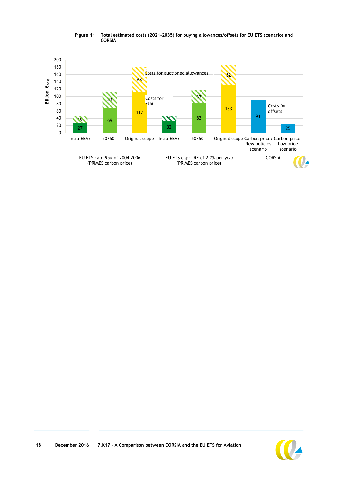<span id="page-18-0"></span>

#### **Figure 11 Total estimated costs (2021-2035) for buying allowances/offsets for EU ETS scenarios and CORSIA**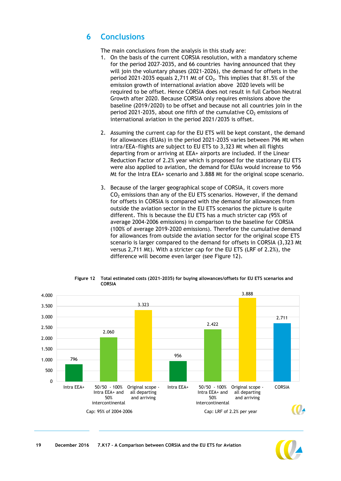### <span id="page-19-0"></span>**6 Conclusions**

The main conclusions from the analysis in this study are:

- 1. On the basis of the current CORSIA resolution, with a mandatory scheme for the period 2027-2035, and 66 countries having announced that they will join the voluntary phases (2021-2026), the demand for offsets in the period 2021-2035 equals 2,711 Mt of  $CO<sub>2</sub>$ . This implies that 81.5% of the emission growth of international aviation above 2020 levels will be required to be offset. Hence CORSIA does not result in full Carbon Neutral Growth after 2020. Because CORSIA only requires emissions above the baseline (2019/2020) to be offset and because not all countries join in the period 2021-2035, about one fifth of the cumulative  $CO<sub>2</sub>$  emissions of international aviation in the period 2021/2035 is offset.
- 2. Assuming the current cap for the EU ETS will be kept constant, the demand for allowances (EUAs) in the period 2021-2035 varies between 796 Mt when intra/EEA~flights are subject to EU ETS to 3,323 Mt when all flights departing from or arriving at EEA+ airports are included. If the Linear Reduction Factor of 2.2% year which is proposed for the stationary EU ETS were also applied to aviation, the demand for EUAs would increase to 956 Mt for the Intra EEA+ scenario and 3.888 Mt for the original scope scenario.
- 3. Because of the larger geographical scope of CORSIA, it covers more  $CO<sub>2</sub>$  emissions than any of the EU ETS scenarios. However, if the demand for offsets in CORSIA is compared with the demand for allowances from outside the aviation sector in the EU ETS scenarios the picture is quite different. This is because the EU ETS has a much stricter cap (95% of average 2004-2006 emissions) in comparison to the baseline for CORSIA (100% of average 2019-2020 emissions). Therefore the cumulative demand for allowances from outside the aviation sector for the original scope ETS scenario is larger compared to the demand for offsets in CORSIA (3,323 Mt versus 2,711 Mt). With a stricter cap for the EU ETS (LRF of 2.2%), the difference will become even larger (see Figure 12).



**Figure 12 Total estimated costs (2021-2035) for buying allowances/offsets for EU ETS scenarios and CORSIA**

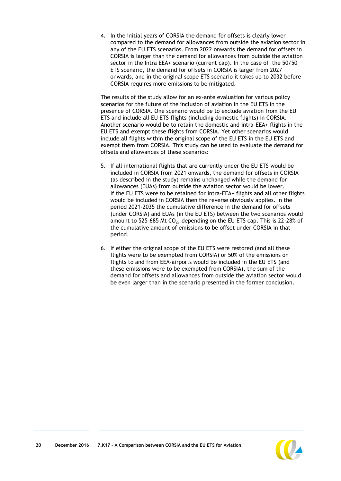4. In the initial years of CORSIA the demand for offsets is clearly lower compared to the demand for allowances from outside the aviation sector in any of the EU ETS scenarios. From 2022 onwards the demand for offsets in CORSIA is larger than the demand for allowances from outside the aviation sector in the Intra EEA+ scenario (current cap). In the case of the 50/50 ETS scenario, the demand for offsets in CORSIA is larger from 2027 onwards, and in the original scope ETS scenario it takes up to 2032 before CORSIA requires more emissions to be mitigated.

The results of the study allow for an ex-ante evaluation for various policy scenarios for the future of the inclusion of aviation in the EU ETS in the presence of CORSIA. One scenario would be to exclude aviation from the EU ETS and include all EU ETS flights (including domestic flights) in CORSIA. Another scenario would be to retain the domestic and intra-EEA+ flights in the EU ETS and exempt these flights from CORSIA. Yet other scenarios would include all flights within the original scope of the EU ETS in the EU ETS and exempt them from CORSIA. This study can be used to evaluate the demand for offsets and allowances of these scenarios:

- 5. If all international flights that are currently under the EU ETS would be included in CORSIA from 2021 onwards, the demand for offsets in CORSIA (as described in the study) remains unchanged while the demand for allowances (EUAs) from outside the aviation sector would be lower. If the EU ETS were to be retained for intra-EEA+ flights and all other flights would be included in CORSIA then the reverse obviously applies. In the period 2021-2035 the cumulative difference in the demand for offsets (under CORSIA) and EUAs (in the EU ETS) between the two scenarios would amount to 525-685 Mt  $CO<sub>2</sub>$ , depending on the EU ETS cap. This is 22-28% of the cumulative amount of emissions to be offset under CORSIA in that period.
- 6. If either the original scope of the EU ETS were restored (and all these flights were to be exempted from CORSIA) or 50% of the emissions on flights to and from EEA-airports would be included in the EU ETS (and these emissions were to be exempted from CORSIA), the sum of the demand for offsets and allowances from outside the aviation sector would be even larger than in the scenario presented in the former conclusion.

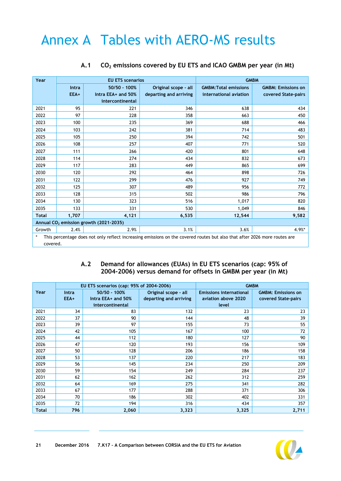# <span id="page-21-0"></span>Annex A Tables with AERO-MS results

<span id="page-21-1"></span>

| Year         |       | <b>EU ETS scenarios</b>                                                                                                   |                        | <b>GMBM</b>                  |                           |  |  |
|--------------|-------|---------------------------------------------------------------------------------------------------------------------------|------------------------|------------------------------|---------------------------|--|--|
|              | Intra | 50/50 - 100%                                                                                                              | Original scope - all   | <b>GMBM: Total emissions</b> | <b>GMBM: Emissions on</b> |  |  |
|              | EEA+  | Intra EEA+ and 50%                                                                                                        | departing and arriving | international aviation       | covered State-pairs       |  |  |
|              |       | intercontinental                                                                                                          |                        |                              |                           |  |  |
| 2021         | 95    | 221                                                                                                                       | 346                    | 638                          | 434                       |  |  |
| 2022         | 97    | 228                                                                                                                       | 358                    | 663                          | 450                       |  |  |
| 2023         | 100   | 235                                                                                                                       | 369                    | 688                          | 466                       |  |  |
| 2024         | 103   | 242                                                                                                                       | 381                    | 714                          | 483                       |  |  |
| 2025         | 105   | 250                                                                                                                       | 394                    | 742                          | 501                       |  |  |
| 2026         | 108   | 257                                                                                                                       | 407                    | 771                          | 520                       |  |  |
| 2027         | 111   | 266                                                                                                                       | 420                    | 801                          | 648                       |  |  |
| 2028         | 114   | 274                                                                                                                       | 434                    | 832                          | 673                       |  |  |
| 2029         | 117   | 283                                                                                                                       | 449                    | 865                          | 699                       |  |  |
| 2030         | 120   | 292                                                                                                                       | 464                    | 898                          | 726                       |  |  |
| 2031         | 122   | 299                                                                                                                       | 476                    | 927                          | 749                       |  |  |
| 2032         | 125   | 307                                                                                                                       | 489                    | 956                          | 772                       |  |  |
| 2033         | 128   | 315                                                                                                                       | 502                    | 986                          | 796                       |  |  |
| 2034         | 130   | 323                                                                                                                       | 516                    | 1,017                        | 820                       |  |  |
| 2035         | 133   | 331                                                                                                                       | 530                    | 1,049                        | 846                       |  |  |
| <b>Total</b> | 1,707 | 4,121                                                                                                                     | 6,535                  | 12,544                       | 9,582                     |  |  |
|              |       | Annual CO <sub>2</sub> emission growth (2021-2035)                                                                        |                        |                              |                           |  |  |
| Growth       | 2.4%  | 2.9%                                                                                                                      | 3.1%                   | 3.6%                         | $4.9%$ *                  |  |  |
| *            |       | This percentage does not only reflect increasing emissions on the covered routes but also that after 2026 more routes are |                        |                              |                           |  |  |
| covered.     |       |                                                                                                                           |                        |                              |                           |  |  |

### **A.1 CO<sup>2</sup> emissions covered by EU ETS and ICAO GMBM per year (in Mt)**

### **A.2 Demand for allowances (EUAs) in EU ETS scenarios (cap: 95% of 2004-2006) versus demand for offsets in GMBM per year (in Mt)**

<span id="page-21-2"></span>

|       |              | EU ETS scenarios (cap: 95% of 2004-2006) |                        | <b>GMBM</b>                    |                           |  |  |
|-------|--------------|------------------------------------------|------------------------|--------------------------------|---------------------------|--|--|
| Year  | <b>Intra</b> | $50/50 - 100%$                           | Original scope - all   | <b>Emissions international</b> | <b>GMBM: Emissions on</b> |  |  |
|       | EEA+         | Intra EEA+ and 50%                       | departing and arriving | aviation above 2020            | covered State-pairs       |  |  |
|       |              | intercontinental                         |                        | level                          |                           |  |  |
| 2021  | 34           | 83                                       | 132                    | 23                             | 23                        |  |  |
| 2022  | 37           | 90                                       | 144                    | 48                             | 39                        |  |  |
| 2023  | 39           | 97                                       | 155                    | 73                             | 55                        |  |  |
| 2024  | 42           | 105                                      | 167                    | 100                            | 72                        |  |  |
| 2025  | 44           | 112                                      | 180                    | 127                            | 90                        |  |  |
| 2026  | 47           | 120                                      | 193                    | 156                            | 109                       |  |  |
| 2027  | 50           | 128                                      | 206                    | 186                            | 158                       |  |  |
| 2028  | 53           | 137                                      | 220                    | 217                            | 183                       |  |  |
| 2029  | 56           | 145                                      | 234                    | 250                            | 209                       |  |  |
| 2030  | 59           | 154                                      | 249                    | 284                            | 237                       |  |  |
| 2031  | 62           | 162                                      | 262                    | 312                            | 259                       |  |  |
| 2032  | 64           | 169                                      | 275                    | 341                            | 282                       |  |  |
| 2033  | 67           | 177                                      | 288                    | 371                            | 306                       |  |  |
| 2034  | 70           | 186                                      | 302                    | 402                            | 331                       |  |  |
| 2035  | 72           | 194                                      | 316                    | 434                            | 357                       |  |  |
| Total | 796          | 2,060                                    | 3,323                  | 3,325                          | 2,711                     |  |  |

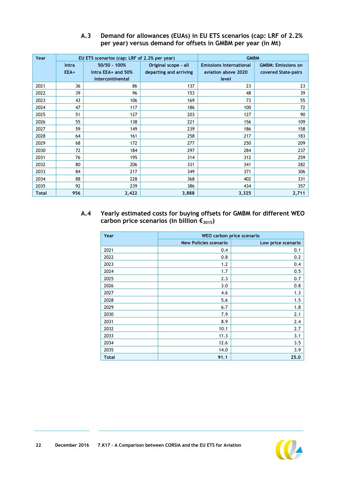<span id="page-22-0"></span>

| Year         |       | EU ETS scenarios (cap: LRF of 2.2% per year) |                        | <b>GMBM</b>                    |                           |  |
|--------------|-------|----------------------------------------------|------------------------|--------------------------------|---------------------------|--|
|              | Intra | 50/50 - 100%                                 | Original scope - all   | <b>Emissions international</b> | <b>GMBM: Emissions on</b> |  |
|              | EEA+  | Intra EEA+ and 50%                           | departing and arriving | aviation above 2020            | covered State-pairs       |  |
|              |       | intercontinental                             |                        | level                          |                           |  |
| 2021         | 36    | 86                                           | 137                    | 23                             | 23                        |  |
| 2022         | 39    | 96                                           | 153                    | 48                             | 39                        |  |
| 2023         | 43    | 106                                          | 169                    | 73                             | 55                        |  |
| 2024         | 47    | 117                                          | 186                    | 100                            | 72                        |  |
| 2025         | 51    | 127                                          | 203                    | 127                            | 90                        |  |
| 2026         | 55    | 138                                          | 221                    | 156                            | 109                       |  |
| 2027         | 59    | 149                                          | 239                    | 186                            | 158                       |  |
| 2028         | 64    | 161                                          | 258                    | 217                            | 183                       |  |
| 2029         | 68    | 172                                          | 277                    | 250                            | 209                       |  |
| 2030         | 72    | 184                                          | 297                    | 284                            | 237                       |  |
| 2031         | 76    | 195                                          | 314                    | 312                            | 259                       |  |
| 2032         | 80    | 206                                          | 331                    | 341                            | 282                       |  |
| 2033         | 84    | 217                                          | 349                    | 371                            | 306                       |  |
| 2034         | 88    | 228                                          | 368                    | 402                            | 331                       |  |
| 2035         | 92    | 239                                          | 386                    | 434                            | 357                       |  |
| <b>Total</b> | 956   | 2,422                                        | 3,888                  | 3,325                          | 2,711                     |  |

### **A.3 Demand for allowances (EUAs) in EU ETS scenarios (cap: LRF of 2.2% per year) versus demand for offsets in GMBM per year (in Mt)**

<span id="page-22-1"></span>**A.4 Yearly estimated costs for buying offsets for GMBM for different WEO carbon price scenarios (in billion €2015)**

| Year         |                              | WEO carbon price scenario |
|--------------|------------------------------|---------------------------|
|              | <b>New Policies scenario</b> | Low price scenario        |
| 2021         | 0.4                          | 0.1                       |
| 2022         | 0.8                          | 0.2                       |
| 2023         | 1.2                          | 0.4                       |
| 2024         | 1.7                          | 0.5                       |
| 2025         | 2.3                          | 0.7                       |
| 2026         | 3.0                          | 0.8                       |
| 2027         | 4.6                          | 1.3                       |
| 2028         | 5.6                          | 1.5                       |
| 2029         | 6.7                          | 1.8                       |
| 2030         | 7.9                          | 2.1                       |
| 2031         | 8.9                          | 2.4                       |
| 2032         | 10.1                         | 2.7                       |
| 2033         | 11.3                         | 3.1                       |
| 2034         | 12.6                         | 3.5                       |
| 2035         | 14.0                         | 3.9                       |
| <b>Total</b> | 91.1                         | 25.0                      |

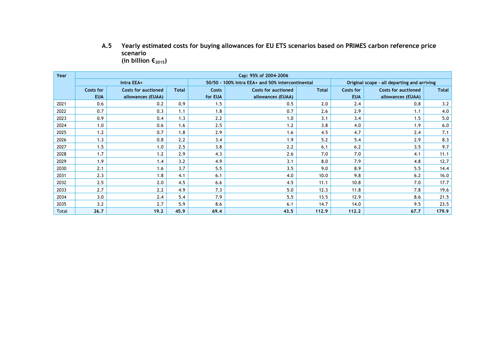**A.5 Yearly estimated costs for buying allowances for EU ETS scenarios based on PRIMES carbon reference price scenario**  (in billion  $\epsilon_{2015}$ )

<span id="page-23-0"></span>

| Year  | Cap: 95% of 2004-2006 |                            |              |                                                  |                            |              |                                             |                            |              |
|-------|-----------------------|----------------------------|--------------|--------------------------------------------------|----------------------------|--------------|---------------------------------------------|----------------------------|--------------|
|       |                       | Intra EEA+                 |              | 50/50 - 100% Intra EEA+ and 50% intercontinental |                            |              | Original scope - all departing and arriving |                            |              |
|       | Costs for             | <b>Costs for auctioned</b> | <b>Total</b> | Costs                                            | <b>Costs for auctioned</b> | <b>Total</b> | <b>Costs for</b>                            | <b>Costs for auctioned</b> | <b>Total</b> |
|       | <b>EUA</b>            | allowances (EUAA)          |              | for EUA                                          | allowances (EUAA)          |              | <b>EUA</b>                                  | allowances (EUAA)          |              |
| 2021  | 0.6                   | 0.2                        | 0.9          | 1.5                                              | 0.5                        | 2.0          | 2.4                                         | 0.8                        | 3.2          |
| 2022  | 0.7                   | 0.3                        | 1.1          | 1.8                                              | 0.7                        | 2.6          | 2.9                                         | 1.1                        | 4.0          |
| 2023  | 0.9                   | 0.4                        | 1.3          | 2.2                                              | 1.0                        | 3.1          | 3.4                                         | 1.5                        | 5.0          |
| 2024  | 1.0                   | 0.6                        | 1.6          | 2.5                                              | 1.2                        | 3.8          | 4.0                                         | 1.9                        | 6.0          |
| 2025  | 1.2                   | 0.7                        | 1.8          | 2.9                                              | 1.6                        | 4.5          | 4.7                                         | 2.4                        | 7.1          |
| 2026  | 1.3                   | 0.8                        | 2.2          | 3.4                                              | 1.9                        | 5.2          | 5.4                                         | 2.9                        | 8.3          |
| 2027  | 1.5                   | 1.0                        | 2.5          | 3.8                                              | 2.2                        | 6.1          | 6.2                                         | 3.5                        | 9.7          |
| 2028  | 1.7                   | 1.2                        | 2.9          | 4.3                                              | 2.6                        | 7.0          | 7.0                                         | 4.1                        | 11.1         |
| 2029  | 1.9                   | 1.4                        | 3.2          | 4.9                                              | 3.1                        | 8.0          | 7.9                                         | 4.8                        | 12.7         |
| 2030  | 2.1                   | 1.6                        | 3.7          | 5.5                                              | 3.5                        | 9.0          | 8.9                                         | 5.5                        | 14.4         |
| 2031  | 2.3                   | 1.8                        | 4.1          | 6.1                                              | 4.0                        | 10.0         | 9.8                                         | 6.2                        | 16.0         |
| 2032  | 2.5                   | 2.0                        | 4.5          | 6.6                                              | 4.5                        | 11.1         | 10.8                                        | 7.0                        | 17.7         |
| 2033  | 2.7                   | 2.2                        | 4.9          | 7.3                                              | 5.0                        | 12.3         | 11.8                                        | 7.8                        | 19.6         |
| 2034  | 3.0                   | 2.4                        | 5.4          | 7.9                                              | 5.5                        | 13.5         | 12.9                                        | 8.6                        | 21.5         |
| 2035  | 3.2                   | 2.7                        | 5.9          | 8.6                                              | 6.1                        | 14.7         | 14.0                                        | 9.5                        | 23.5         |
| Total | 26.7                  | 19.2                       | 45.9         | 69.4                                             | 43.5                       | 112.9        | 112.2                                       | 67.7                       | 179.9        |